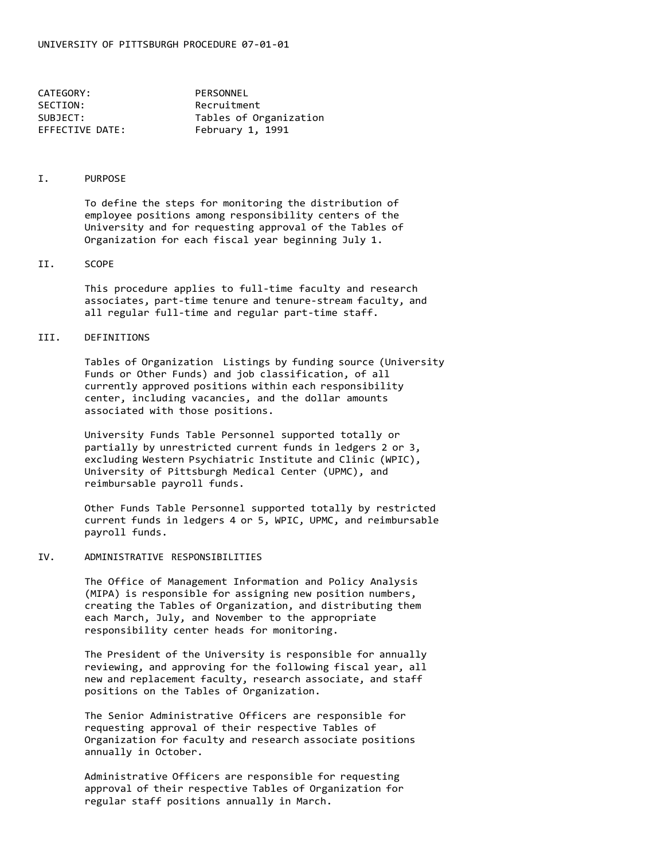| CATEGORY:       | PERSONNEL              |
|-----------------|------------------------|
| SECTION:        | Recruitment            |
| SUBJECT:        | Tables of Organization |
| EFFECTIVE DATE: | February 1, 1991       |

### I. PURPOSE

To define the steps for monitoring the distribution of employee positions among responsibility centers of the University and for requesting approval of the Tables of Organization for each fiscal year beginning July 1.

### II. SCOPE

This procedure applies to full-time faculty and research associates, part-time tenure and tenure-stream faculty, and all regular full-time and regular part-time staff.

### III. DEFINITIONS

Tables of Organization Listings by funding source (University Funds or Other Funds) and job classification, of all currently approved positions within each responsibility center, including vacancies, and the dollar amounts associated with those positions.

University Funds Table Personnel supported totally or partially by unrestricted current funds in ledgers 2 or 3, excluding Western Psychiatric Institute and Clinic (WPIC), University of Pittsburgh Medical Center (UPMC), and reimbursable payroll funds.

Other Funds Table Personnel supported totally by restricted current funds in ledgers 4 or 5, WPIC, UPMC, and reimbursable payroll funds.

### IV. ADMINISTRATIVE RESPONSIBILITIES

The Office of Management Information and Policy Analysis (MIPA) is responsible for assigning new position numbers, creating the Tables of Organization, and distributing them each March, July, and November to the appropriate responsibility center heads for monitoring.

The President of the University is responsible for annually reviewing, and approving for the following fiscal year, all new and replacement faculty, research associate, and staff positions on the Tables of Organization.

The Senior Administrative Officers are responsible for requesting approval of their respective Tables of Organization for faculty and research associate positions annually in October.

Administrative Officers are responsible for requesting approval of their respective Tables of Organization for regular staff positions annually in March.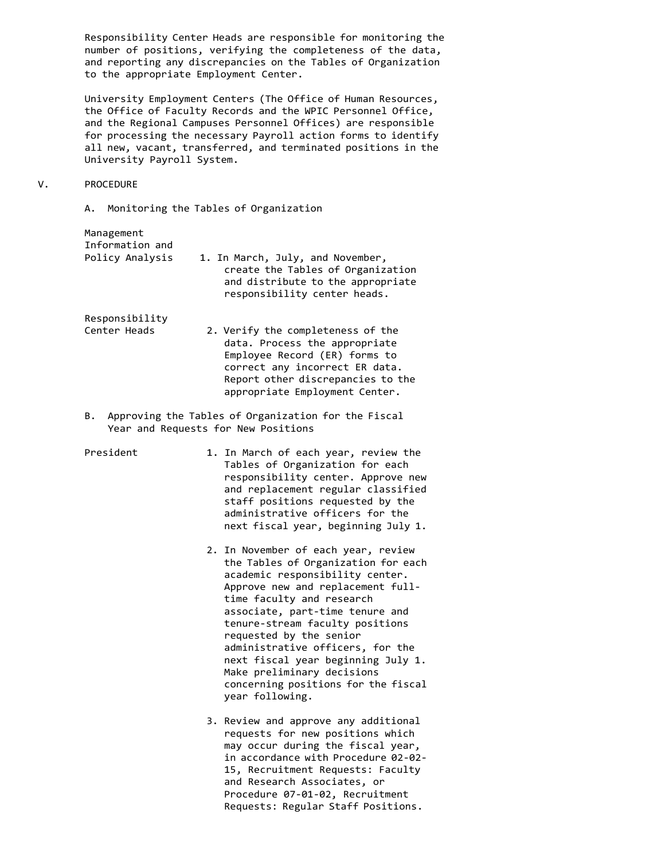Responsibility Center Heads are responsible for monitoring the number of positions, verifying the completeness of the data, and reporting any discrepancies on the Tables of Organization to the appropriate Employment Center.

University Employment Centers (The Office of Human Resources, the Office of Faculty Records and the WPIC Personnel Office, and the Regional Campuses Personnel Offices) are responsible for processing the necessary Payroll action forms to identify all new, vacant, transferred, and terminated positions in the University Payroll System.

### V. PROCEDURE

A. Monitoring the Tables of Organization

| 1. In March, July, and November,  |
|-----------------------------------|
| create the Tables of Organization |
| and distribute to the appropriate |
| responsibility center heads.      |
|                                   |

Responsibility

Management

- Center Heads 2. Verify the completeness of the data. Process the appropriate Employee Record (ER) forms to correct any incorrect ER data. Report other discrepancies to the appropriate Employment Center.
- B. Approving the Tables of Organization for the Fiscal Year and Requests for New Positions
- President 1. In March of each year, review the Tables of Organization for each responsibility center. Approve new and replacement regular classified staff positions requested by the administrative officers for the next fiscal year, beginning July 1.
	- 2. In November of each year, review the Tables of Organization for each academic responsibility center. Approve new and replacement fulltime faculty and research associate, part-time tenure and tenure-stream faculty positions requested by the senior administrative officers, for the next fiscal year beginning July 1. Make preliminary decisions concerning positions for the fiscal year following.
	- 3. Review and approve any additional requests for new positions which may occur during the fiscal year, in accordance with Procedure 02-02- 15, Recruitment Requests: Faculty and Research Associates, or Procedure 07-01-02, Recruitment Requests: Regular Staff Positions.